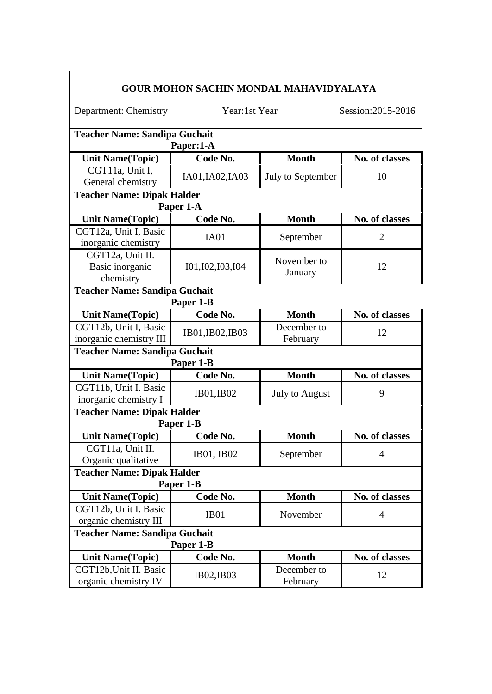| <b>GOUR MOHON SACHIN MONDAL MAHAVIDYALAYA</b>                             |                                                |                         |                                  |  |  |
|---------------------------------------------------------------------------|------------------------------------------------|-------------------------|----------------------------------|--|--|
| Department: Chemistry                                                     | Year:1st Year                                  |                         | Session: 2015-2016               |  |  |
| <b>Teacher Name: Sandipa Guchait</b><br>Paper:1-A                         |                                                |                         |                                  |  |  |
| <b>Unit Name(Topic)</b>                                                   | Code No.                                       | <b>Month</b>            | No. of classes                   |  |  |
| CGT11a, Unit I,<br>General chemistry                                      | IA01, IA02, IA03                               | July to September       | 10                               |  |  |
|                                                                           | <b>Teacher Name: Dipak Halder</b><br>Paper 1-A |                         |                                  |  |  |
| <b>Unit Name(Topic)</b>                                                   | Code No.                                       | <b>Month</b>            | No. of classes                   |  |  |
| CGT12a, Unit I, Basic<br>inorganic chemistry                              | IA01                                           | September               | $\overline{2}$                   |  |  |
| CGT12a, Unit II.<br>Basic inorganic<br>chemistry                          | 101, 102, 103, 104                             | November to<br>January  | 12                               |  |  |
| <b>Teacher Name: Sandipa Guchait</b><br>Paper 1-B                         |                                                |                         |                                  |  |  |
| <b>Unit Name(Topic)</b>                                                   | Code No.                                       | <b>Month</b>            | No. of classes                   |  |  |
| CGT12b, Unit I, Basic<br>inorganic chemistry III                          | IB01, IB02, IB03                               | December to<br>February | 12                               |  |  |
| <b>Teacher Name: Sandipa Guchait</b><br>Paper 1-B                         |                                                |                         |                                  |  |  |
| <b>Unit Name(Topic)</b>                                                   | Code No.                                       | <b>Month</b>            | No. of classes                   |  |  |
| CGT11b, Unit I. Basic<br>inorganic chemistry I                            | IB01, IB02                                     | <b>July to August</b>   | 9                                |  |  |
|                                                                           | <b>Teacher Name: Dipak Halder</b>              |                         |                                  |  |  |
| <b>Unit Name(Topic)</b>                                                   | Paper 1-B<br>Code No.                          | <b>Month</b>            | No. of classes                   |  |  |
| CGT11a, Unit II.<br>Organic qualitative                                   | IB01, IB02                                     | September               | $\overline{4}$                   |  |  |
| <b>Teacher Name: Dipak Halder</b>                                         |                                                |                         |                                  |  |  |
|                                                                           | Paper 1-B                                      | <b>Month</b>            |                                  |  |  |
| <b>Unit Name(Topic)</b><br>CGT12b, Unit I. Basic<br>organic chemistry III | Code No.<br>IB <sub>01</sub>                   | November                | No. of classes<br>$\overline{4}$ |  |  |
| <b>Teacher Name: Sandipa Guchait</b><br>Paper 1-B                         |                                                |                         |                                  |  |  |
| <b>Unit Name(Topic)</b>                                                   | Code No.                                       | <b>Month</b>            | No. of classes                   |  |  |
| CGT12b, Unit II. Basic<br>organic chemistry IV                            | IB02, IB03                                     | December to<br>February | 12                               |  |  |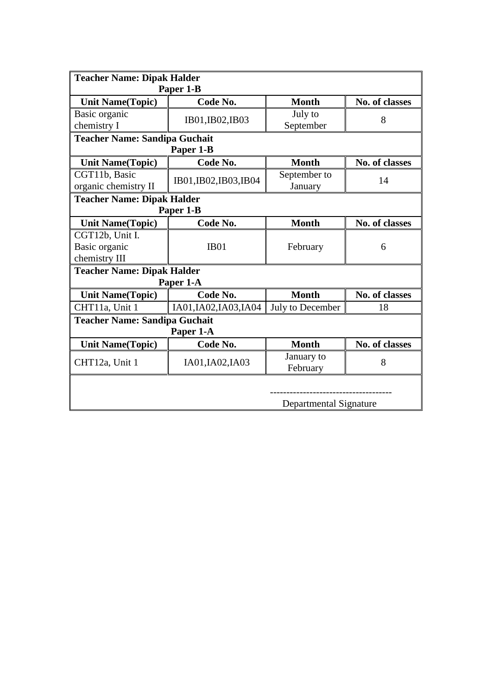| <b>Teacher Name: Dipak Halder</b><br>Paper 1-B |                                      |                         |                       |  |  |
|------------------------------------------------|--------------------------------------|-------------------------|-----------------------|--|--|
| <b>Unit Name(Topic)</b>                        | Code No.                             | <b>Month</b>            | No. of classes        |  |  |
| Basic organic<br>chemistry I                   | IB01, IB02, IB03                     | July to<br>September    | 8                     |  |  |
|                                                | <b>Teacher Name: Sandipa Guchait</b> |                         |                       |  |  |
|                                                | Paper 1-B                            |                         |                       |  |  |
| <b>Unit Name(Topic)</b>                        | Code No.                             | <b>Month</b>            | <b>No. of classes</b> |  |  |
| CGT11b, Basic<br>organic chemistry II          | IB01, IB02, IB03, IB04               | September to<br>January | 14                    |  |  |
| <b>Teacher Name: Dipak Halder</b>              |                                      |                         |                       |  |  |
|                                                | Paper 1-B                            |                         |                       |  |  |
| <b>Unit Name(Topic)</b>                        | Code No.                             | <b>Month</b>            | No. of classes        |  |  |
| CGT12b, Unit I.                                |                                      |                         |                       |  |  |
| Basic organic                                  | <b>IB01</b>                          | February                | 6                     |  |  |
| chemistry III                                  |                                      |                         |                       |  |  |
| <b>Teacher Name: Dipak Halder</b>              |                                      |                         |                       |  |  |
|                                                | Paper 1-A                            |                         |                       |  |  |
| <b>Unit Name(Topic)</b>                        | Code No.                             | <b>Month</b>            | No. of classes        |  |  |
| CHT11a, Unit 1                                 | IA01, IA02, IA03, IA04               | July to December        | 18                    |  |  |
| <b>Teacher Name: Sandipa Guchait</b>           |                                      |                         |                       |  |  |
| Paper 1-A                                      |                                      |                         |                       |  |  |
| <b>Unit Name(Topic)</b>                        | Code No.                             | <b>Month</b>            | No. of classes        |  |  |
| CHT12a, Unit 1                                 | IA01, IA02, IA03                     | January to<br>February  | 8                     |  |  |
| Departmental Signature                         |                                      |                         |                       |  |  |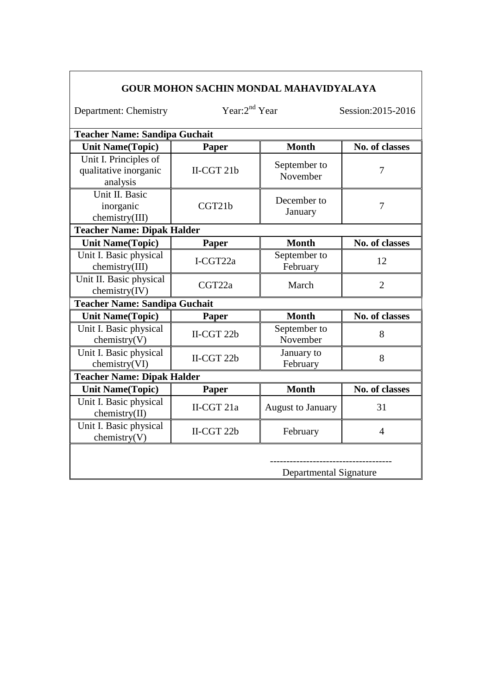|                                                            |                     | <b>GOUR MOHON SACHIN MONDAL MAHAVIDYALAYA</b> |                       |  |  |  |
|------------------------------------------------------------|---------------------|-----------------------------------------------|-----------------------|--|--|--|
| Department: Chemistry                                      | Year: $2^{nd}$ Year |                                               | Session: 2015-2016    |  |  |  |
| <b>Teacher Name: Sandipa Guchait</b>                       |                     |                                               |                       |  |  |  |
| <b>Unit Name(Topic)</b>                                    | Paper               | <b>Month</b>                                  | No. of classes        |  |  |  |
| Unit I. Principles of<br>qualitative inorganic<br>analysis | II-CGT 21b          | September to<br>November                      | $\overline{7}$        |  |  |  |
| Unit II. Basic<br>inorganic<br>chemistry(III)              | CGT21b              | December to<br>January                        | 7                     |  |  |  |
| <b>Teacher Name: Dipak Halder</b>                          |                     |                                               |                       |  |  |  |
| <b>Unit Name(Topic)</b>                                    | <b>Paper</b>        | <b>Month</b>                                  | No. of classes        |  |  |  |
| Unit I. Basic physical<br>chemistry(III)                   | I-CGT22a            | September to<br>February                      | 12                    |  |  |  |
| Unit II. Basic physical<br>chemistry(IV)                   | CGT22a              | March                                         | $\overline{2}$        |  |  |  |
| <b>Teacher Name: Sandipa Guchait</b>                       |                     |                                               |                       |  |  |  |
| <b>Unit Name(Topic)</b>                                    | <b>Paper</b>        | <b>Month</b>                                  | <b>No. of classes</b> |  |  |  |
| Unit I. Basic physical<br>chemistry(V)                     | II-CGT 22b          | September to<br>November                      | 8                     |  |  |  |
| Unit I. Basic physical<br>chemistry(VI)                    | $II-CGT 22b$        | January to<br>February                        | 8                     |  |  |  |
| <b>Teacher Name: Dipak Halder</b>                          |                     |                                               |                       |  |  |  |
| <b>Unit Name(Topic)</b>                                    | Paper               | <b>Month</b>                                  | <b>No. of classes</b> |  |  |  |
| Unit I. Basic physical<br>chemistry(II)                    | II-CGT 21a          | <b>August to January</b>                      | 31                    |  |  |  |
| Unit I. Basic physical<br>chemistry(V)                     | II-CGT 22b          | February                                      | $\overline{4}$        |  |  |  |
|                                                            |                     | Departmental Signature                        |                       |  |  |  |

 $\overline{\phantom{a}}$